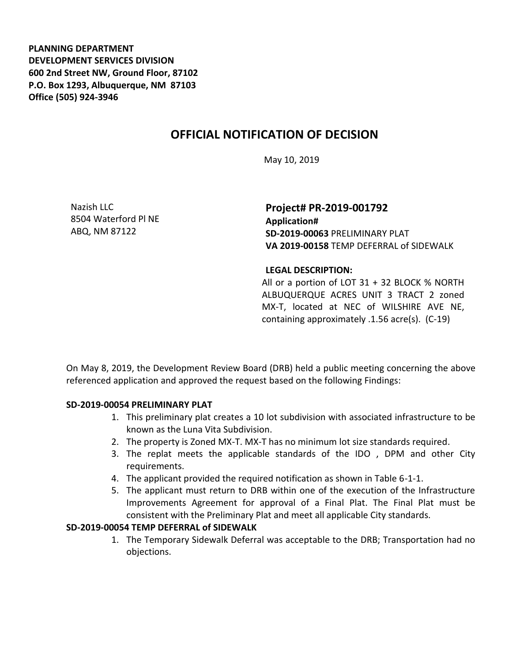**PLANNING DEPARTMENT DEVELOPMENT SERVICES DIVISION 600 2nd Street NW, Ground Floor, 87102 P.O. Box 1293, Albuquerque, NM 87103 Office (505) 924-3946** 

## **OFFICIAL NOTIFICATION OF DECISION**

May 10, 2019

Nazish LLC 8504 Waterford Pl NE ABQ, NM 87122

**Project# PR-2019-001792 Application# SD-2019-00063** PRELIMINARY PLAT **VA 2019-00158** TEMP DEFERRAL of SIDEWALK

## **LEGAL DESCRIPTION:**

All or a portion of LOT 31 + 32 BLOCK % NORTH ALBUQUERQUE ACRES UNIT 3 TRACT 2 zoned MX-T, located at NEC of WILSHIRE AVE NE, containing approximately .1.56 acre(s). (C-19)

On May 8, 2019, the Development Review Board (DRB) held a public meeting concerning the above referenced application and approved the request based on the following Findings:

## **SD-2019-00054 PRELIMINARY PLAT**

- 1. This preliminary plat creates a 10 lot subdivision with associated infrastructure to be known as the Luna Vita Subdivision.
- 2. The property is Zoned MX-T. MX-T has no minimum lot size standards required.
- 3. The replat meets the applicable standards of the IDO , DPM and other City requirements.
- 4. The applicant provided the required notification as shown in Table 6-1-1.
- 5. The applicant must return to DRB within one of the execution of the Infrastructure Improvements Agreement for approval of a Final Plat. The Final Plat must be consistent with the Preliminary Plat and meet all applicable City standards.

## **SD-2019-00054 TEMP DEFERRAL of SIDEWALK**

1. The Temporary Sidewalk Deferral was acceptable to the DRB; Transportation had no objections.